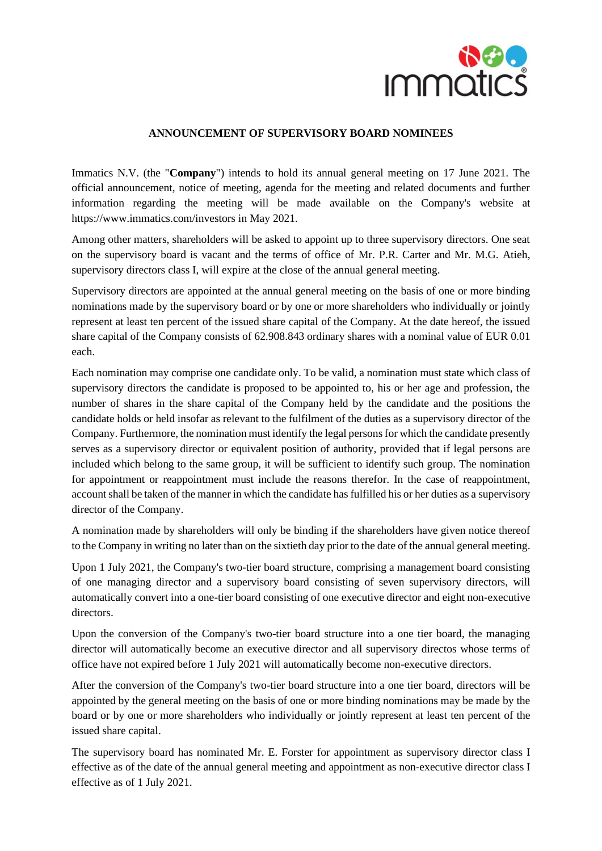

## **ANNOUNCEMENT OF SUPERVISORY BOARD NOMINEES**

Immatics N.V. (the "**Company**") intends to hold its annual general meeting on 17 June 2021. The official announcement, notice of meeting, agenda for the meeting and related documents and further information regarding the meeting will be made available on the Company's website at https://www.immatics.com/investors in May 2021.

Among other matters, shareholders will be asked to appoint up to three supervisory directors. One seat on the supervisory board is vacant and the terms of office of Mr. P.R. Carter and Mr. M.G. Atieh, supervisory directors class I, will expire at the close of the annual general meeting.

Supervisory directors are appointed at the annual general meeting on the basis of one or more binding nominations made by the supervisory board or by one or more shareholders who individually or jointly represent at least ten percent of the issued share capital of the Company. At the date hereof, the issued share capital of the Company consists of 62.908.843 ordinary shares with a nominal value of EUR 0.01 each.

Each nomination may comprise one candidate only. To be valid, a nomination must state which class of supervisory directors the candidate is proposed to be appointed to, his or her age and profession, the number of shares in the share capital of the Company held by the candidate and the positions the candidate holds or held insofar as relevant to the fulfilment of the duties as a supervisory director of the Company. Furthermore, the nomination must identify the legal persons for which the candidate presently serves as a supervisory director or equivalent position of authority, provided that if legal persons are included which belong to the same group, it will be sufficient to identify such group. The nomination for appointment or reappointment must include the reasons therefor. In the case of reappointment, account shall be taken of the manner in which the candidate has fulfilled his or her duties as a supervisory director of the Company.

A nomination made by shareholders will only be binding if the shareholders have given notice thereof to the Company in writing no later than on the sixtieth day prior to the date of the annual general meeting.

Upon 1 July 2021, the Company's two-tier board structure, comprising a management board consisting of one managing director and a supervisory board consisting of seven supervisory directors, will automatically convert into a one-tier board consisting of one executive director and eight non-executive directors.

Upon the conversion of the Company's two-tier board structure into a one tier board, the managing director will automatically become an executive director and all supervisory directos whose terms of office have not expired before 1 July 2021 will automatically become non-executive directors.

After the conversion of the Company's two-tier board structure into a one tier board, directors will be appointed by the general meeting on the basis of one or more binding nominations may be made by the board or by one or more shareholders who individually or jointly represent at least ten percent of the issued share capital.

The supervisory board has nominated Mr. E. Forster for appointment as supervisory director class I effective as of the date of the annual general meeting and appointment as non-executive director class I effective as of 1 July 2021.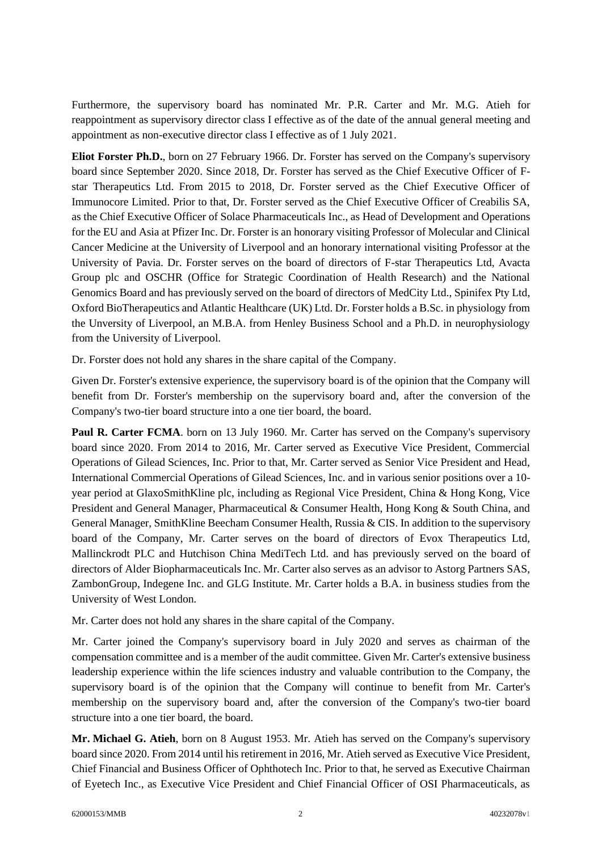Furthermore, the supervisory board has nominated Mr. P.R. Carter and Mr. M.G. Atieh for reappointment as supervisory director class I effective as of the date of the annual general meeting and appointment as non-executive director class I effective as of 1 July 2021.

**Eliot Forster Ph.D.**, born on 27 February 1966. Dr. Forster has served on the Company's supervisory board since September 2020. Since 2018, Dr. Forster has served as the Chief Executive Officer of Fstar Therapeutics Ltd. From 2015 to 2018, Dr. Forster served as the Chief Executive Officer of Immunocore Limited. Prior to that, Dr. Forster served as the Chief Executive Officer of Creabilis SA, as the Chief Executive Officer of Solace Pharmaceuticals Inc., as Head of Development and Operations for the EU and Asia at Pfizer Inc. Dr. Forster is an honorary visiting Professor of Molecular and Clinical Cancer Medicine at the University of Liverpool and an honorary international visiting Professor at the University of Pavia. Dr. Forster serves on the board of directors of F-star Therapeutics Ltd, Avacta Group plc and OSCHR (Office for Strategic Coordination of Health Research) and the National Genomics Board and has previously served on the board of directors of MedCity Ltd., Spinifex Pty Ltd, Oxford BioTherapeutics and Atlantic Healthcare (UK) Ltd. Dr. Forster holds a B.Sc. in physiology from the Unversity of Liverpool, an M.B.A. from Henley Business School and a Ph.D. in neurophysiology from the University of Liverpool.

Dr. Forster does not hold any shares in the share capital of the Company.

Given Dr. Forster's extensive experience, the supervisory board is of the opinion that the Company will benefit from Dr. Forster's membership on the supervisory board and, after the conversion of the Company's two-tier board structure into a one tier board, the board.

Paul R. Carter FCMA. born on 13 July 1960. Mr. Carter has served on the Company's supervisory board since 2020. From 2014 to 2016, Mr. Carter served as Executive Vice President, Commercial Operations of Gilead Sciences, Inc. Prior to that, Mr. Carter served as Senior Vice President and Head, International Commercial Operations of Gilead Sciences, Inc. and in various senior positions over a 10 year period at GlaxoSmithKline plc, including as Regional Vice President, China & Hong Kong, Vice President and General Manager, Pharmaceutical & Consumer Health, Hong Kong & South China, and General Manager, SmithKline Beecham Consumer Health, Russia & CIS. In addition to the supervisory board of the Company, Mr. Carter serves on the board of directors of Evox Therapeutics Ltd, Mallinckrodt PLC and Hutchison China MediTech Ltd. and has previously served on the board of directors of Alder Biopharmaceuticals Inc. Mr. Carter also serves as an advisor to Astorg Partners SAS, ZambonGroup, Indegene Inc. and GLG Institute. Mr. Carter holds a B.A. in business studies from the University of West London.

Mr. Carter does not hold any shares in the share capital of the Company.

Mr. Carter joined the Company's supervisory board in July 2020 and serves as chairman of the compensation committee and is a member of the audit committee. Given Mr. Carter's extensive business leadership experience within the life sciences industry and valuable contribution to the Company, the supervisory board is of the opinion that the Company will continue to benefit from Mr. Carter's membership on the supervisory board and, after the conversion of the Company's two-tier board structure into a one tier board, the board.

**Mr. Michael G. Atieh**, born on 8 August 1953. Mr. Atieh has served on the Company's supervisory board since 2020. From 2014 until his retirement in 2016, Mr. Atieh served as Executive Vice President, Chief Financial and Business Officer of Ophthotech Inc. Prior to that, he served as Executive Chairman of Eyetech Inc., as Executive Vice President and Chief Financial Officer of OSI Pharmaceuticals, as